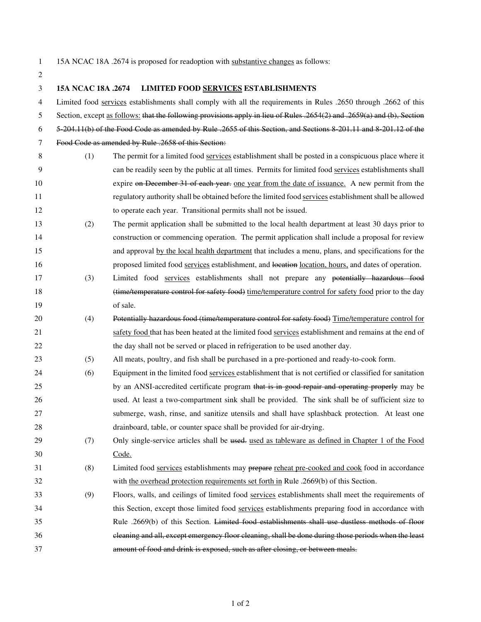2

1 15A NCAC 18A .2674 is proposed for readoption with substantive changes as follows:

| 3  | 15A NCAC 18A .2674 | LIMITED FOOD SERVICES ESTABLISHMENTS                                                                                           |
|----|--------------------|--------------------------------------------------------------------------------------------------------------------------------|
| 4  |                    | Limited food services establishments shall comply with all the requirements in Rules .2650 through .2662 of this               |
| 5  |                    | Section, except <u>as follows:</u> that the following provisions apply in lieu of Rules .2654(2) and .2659(a) and (b), Section |
| 6  |                    | 5 204.11(b) of the Food Code as amended by Rule .2655 of this Section, and Sections 8 201.11 and 8 201.12 of the               |
| 7  |                    | Food Code as amended by Rule .2658 of this Section:                                                                            |
| 8  | (1)                | The permit for a limited food services establishment shall be posted in a conspicuous place where it                           |
| 9  |                    | can be readily seen by the public at all times. Permits for limited food services establishments shall                         |
| 10 |                    | expire on December 31 of each year, one year from the date of issuance. A new permit from the                                  |
| 11 |                    | regulatory authority shall be obtained before the limited food services establishment shall be allowed                         |
| 12 |                    | to operate each year. Transitional permits shall not be issued.                                                                |
| 13 | (2)                | The permit application shall be submitted to the local health department at least 30 days prior to                             |
| 14 |                    | construction or commencing operation. The permit application shall include a proposal for review                               |
| 15 |                    | and approval by the local health department that includes a menu, plans, and specifications for the                            |
| 16 |                    | proposed limited food services establishment, and location location, hours, and dates of operation.                            |
| 17 | (3)                | Limited food services establishments shall not prepare any potentially hazardous food                                          |
| 18 |                    | (time/temperature control for safety food) time/temperature control for safety food prior to the day                           |
| 19 |                    | of sale.                                                                                                                       |
| 20 | (4)                | Potentially hazardous food (time/temperature control for safety food) Time/temperature control for                             |
| 21 |                    | safety food that has been heated at the limited food services establishment and remains at the end of                          |
| 22 |                    | the day shall not be served or placed in refrigeration to be used another day.                                                 |
| 23 | (5)                | All meats, poultry, and fish shall be purchased in a pre-portioned and ready-to-cook form.                                     |
| 24 | (6)                | Equipment in the limited food services establishment that is not certified or classified for sanitation                        |
| 25 |                    | by an ANSI-accredited certificate program that is in good repair and operating properly may be                                 |
| 26 |                    | used. At least a two-compartment sink shall be provided. The sink shall be of sufficient size to                               |
| 27 |                    | submerge, wash, rinse, and sanitize utensils and shall have splashback protection. At least one                                |
| 28 |                    | drainboard, table, or counter space shall be provided for air-drying.                                                          |
| 29 | (7)                | Only single-service articles shall be used used as tableware as defined in Chapter 1 of the Food                               |
| 30 |                    | Code.                                                                                                                          |
| 31 | (8)                | Limited food services establishments may prepare reheat pre-cooked and cook food in accordance                                 |
| 32 |                    | with the overhead protection requirements set forth in Rule .2669(b) of this Section.                                          |
| 33 | (9)                | Floors, walls, and ceilings of limited food services establishments shall meet the requirements of                             |
| 34 |                    | this Section, except those limited food services establishments preparing food in accordance with                              |
| 35 |                    | Rule .2669(b) of this Section. Limited food establishments shall use dustless methods of floor                                 |
| 36 |                    | cleaning and all, except emergency floor cleaning, shall be done during those periods when the least                           |
| 37 |                    | amount of food and drink is exposed, such as after closing, or between meals.                                                  |